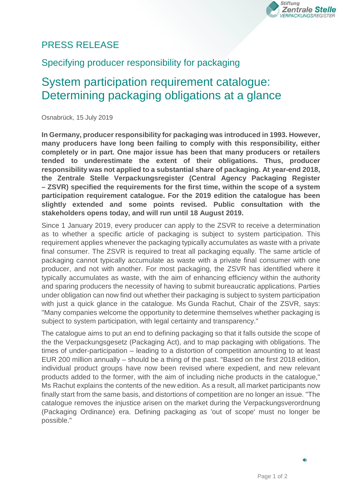

## PRESS RELEASE

## Specifying producer responsibility for packaging

## System participation requirement catalogue: Determining packaging obligations at a glance

Osnabrück, 15 July 2019

**In Germany, producer responsibility for packaging was introduced in 1993. However, many producers have long been failing to comply with this responsibility, either completely or in part. One major issue has been that many producers or retailers tended to underestimate the extent of their obligations. Thus, producer responsibility was not applied to a substantial share of packaging. At year-end 2018, the Zentrale Stelle Verpackungsregister (Central Agency Packaging Register – ZSVR) specified the requirements for the first time, within the scope of a system participation requirement catalogue. For the 2019 edition the catalogue has been slightly extended and some points revised. Public consultation with the stakeholders opens today, and will run until 18 August 2019.**

Since 1 January 2019, every producer can apply to the ZSVR to receive a determination as to whether a specific article of packaging is subject to system participation. This requirement applies whenever the packaging typically accumulates as waste with a private final consumer. The ZSVR is required to treat all packaging equally. The same article of packaging cannot typically accumulate as waste with a private final consumer with one producer, and not with another. For most packaging, the ZSVR has identified where it typically accumulates as waste, with the aim of enhancing efficiency within the authority and sparing producers the necessity of having to submit bureaucratic applications. Parties under obligation can now find out whether their packaging is subject to system participation with just a quick glance in the catalogue. Ms Gunda Rachut, Chair of the ZSVR, says: "Many companies welcome the opportunity to determine themselves whether packaging is subject to system participation, with legal certainty and transparency."

The catalogue aims to put an end to defining packaging so that it falls outside the scope of the the Verpackungsgesetz (Packaging Act), and to map packaging with obligations. The times of under-participation – leading to a distortion of competition amounting to at least EUR 200 million annually – should be a thing of the past. "Based on the first 2018 edition, individual product groups have now been revised where expedient, and new relevant products added to the former, with the aim of including niche products in the catalogue," Ms Rachut explains the contents of the new edition. As a result, all market participants now finally start from the same basis, and distortions of competition are no longer an issue. "The catalogue removes the injustice arisen on the market during the Verpackungsverordnung (Packaging Ordinance) era. Defining packaging as 'out of scope' must no longer be possible."

 $\leftrightarrow$